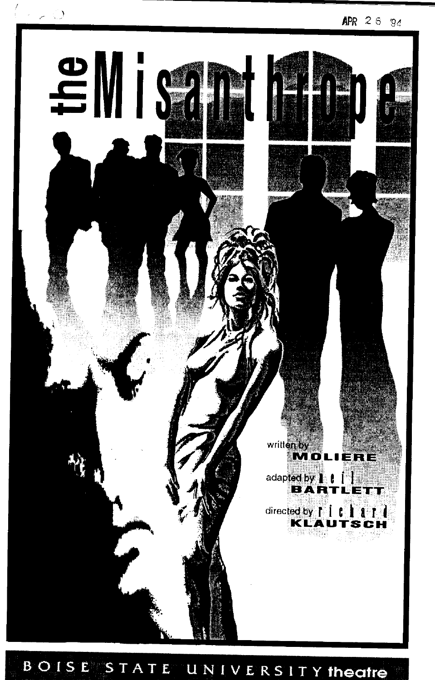

#### BOISE STATE UNIVERSITY theatre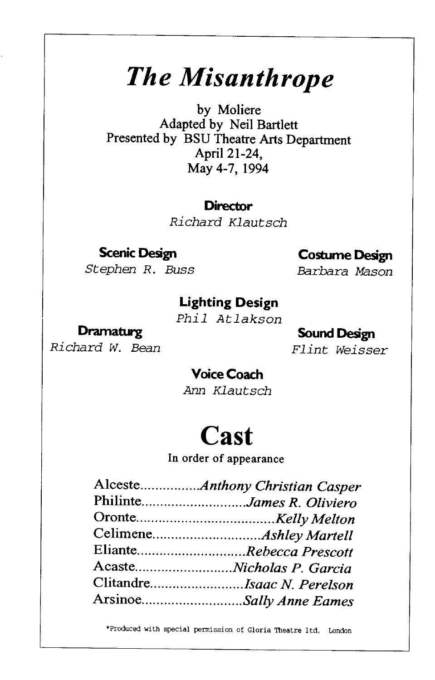# *The Misanthrope*

by Moliere Adapted by Neil Bartlett Presented by BSU Theatre Arts Department April21-24, May 4-7, 1994

#### **Director**

Richard Klautsch

#### **Scenic Design**  Stephen R. Buss

#### **Costume Design**

Barbara Mason

#### **Lighting Design**

Phil Atlakson

### **Dramaturg**

Richard W. Bean

### **Sound Design**

Flint Weisser

#### **Voice Coach**

Arm Klautsch

## **Cast**

In order of appearance

| PhilinteJames R. Oliviero  |
|----------------------------|
|                            |
|                            |
| ElianteRebecca Prescott    |
|                            |
| ClitandreIsaac N. Perelson |
| ArsinoeSally Anne Eames    |
|                            |

\*Produced with special permission of Gloria Theatre ltd, London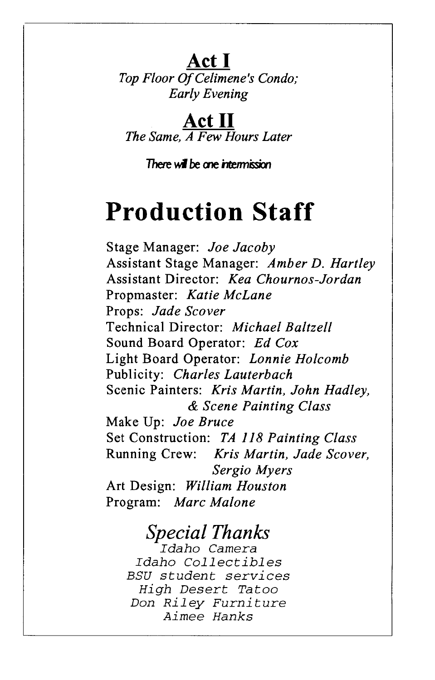**Act I Top Floor Of Celimene's Condo;** *Early Evening* 

**Act II**  *The Same, A Few Hours Later* 

**There will be one intermission** 

## **Production Staff**

Stage Manager: *Joe Jacoby*  Assistant Stage Manager: *Amber D. Hartley*  Assistant Director: *Kea Chournos-Jordan*  Propmaster: *Katie McLane*  Props: *Jade Scover*  Technical Director: *Michael Baltzell*  Sound Board Operator: *Ed Cox*  Light Board Operator: *Lonnie Holcomb*  Publicity: *Charles Lauterbach*  Scenic Painters: *Kris Martin, John Hadley,*  & *Scene Painting Class*  Make Up: *Joe Bruce*  Set Construction: *TA 118 Painting Class*  Running Crew: *Kris Martin, Jade Scover, Sergio Myers*  Art Design: *William Houston*  Program: *Marc Malone* 

### *Special Thanks*

*Idaho Camera Idaho Collectibles BSU student services High Desert Tatoo Don Riley Furniture Aimee Hanks*